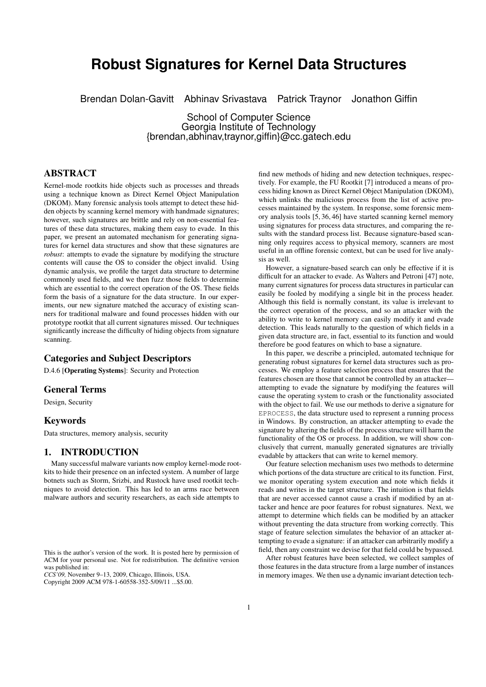# **Robust Signatures for Kernel Data Structures**

Brendan Dolan-Gavitt Abhinav Srivastava Patrick Traynor Jonathon Giffin

School of Computer Science Georgia Institute of Technology {brendan,abhinav,traynor,giffin}@cc.gatech.edu

# ABSTRACT

Kernel-mode rootkits hide objects such as processes and threads using a technique known as Direct Kernel Object Manipulation (DKOM). Many forensic analysis tools attempt to detect these hidden objects by scanning kernel memory with handmade signatures; however, such signatures are brittle and rely on non-essential features of these data structures, making them easy to evade. In this paper, we present an automated mechanism for generating signatures for kernel data structures and show that these signatures are *robust*: attempts to evade the signature by modifying the structure contents will cause the OS to consider the object invalid. Using dynamic analysis, we profile the target data structure to determine commonly used fields, and we then fuzz those fields to determine which are essential to the correct operation of the OS. These fields form the basis of a signature for the data structure. In our experiments, our new signature matched the accuracy of existing scanners for traditional malware and found processes hidden with our prototype rootkit that all current signatures missed. Our techniques significantly increase the difficulty of hiding objects from signature scanning.

## Categories and Subject Descriptors

D.4.6 [Operating Systems]: Security and Protection

# General Terms

Design, Security

#### Keywords

Data structures, memory analysis, security

# 1. INTRODUCTION

Many successful malware variants now employ kernel-mode rootkits to hide their presence on an infected system. A number of large botnets such as Storm, Srizbi, and Rustock have used rootkit techniques to avoid detection. This has led to an arms race between malware authors and security researchers, as each side attempts to

*CCS'09,* November 9–13, 2009, Chicago, Illinois, USA.

Copyright 2009 ACM 978-1-60558-352-5/09/11 ...\$5.00.

find new methods of hiding and new detection techniques, respectively. For example, the FU Rootkit [7] introduced a means of process hiding known as Direct Kernel Object Manipulation (DKOM), which unlinks the malicious process from the list of active processes maintained by the system. In response, some forensic memory analysis tools [5, 36, 46] have started scanning kernel memory using signatures for process data structures, and comparing the results with the standard process list. Because signature-based scanning only requires access to physical memory, scanners are most useful in an offline forensic context, but can be used for live analysis as well.

However, a signature-based search can only be effective if it is difficult for an attacker to evade. As Walters and Petroni [47] note, many current signatures for process data structures in particular can easily be fooled by modifying a single bit in the process header. Although this field is normally constant, its value is irrelevant to the correct operation of the process, and so an attacker with the ability to write to kernel memory can easily modify it and evade detection. This leads naturally to the question of which fields in a given data structure are, in fact, essential to its function and would therefore be good features on which to base a signature.

In this paper, we describe a principled, automated technique for generating robust signatures for kernel data structures such as processes. We employ a feature selection process that ensures that the features chosen are those that cannot be controlled by an attacker attempting to evade the signature by modifying the features will cause the operating system to crash or the functionality associated with the object to fail. We use our methods to derive a signature for EPROCESS, the data structure used to represent a running process in Windows. By construction, an attacker attempting to evade the signature by altering the fields of the process structure will harm the functionality of the OS or process. In addition, we will show conclusively that current, manually generated signatures are trivially evadable by attackers that can write to kernel memory.

Our feature selection mechanism uses two methods to determine which portions of the data structure are critical to its function. First, we monitor operating system execution and note which fields it reads and writes in the target structure. The intuition is that fields that are never accessed cannot cause a crash if modified by an attacker and hence are poor features for robust signatures. Next, we attempt to determine which fields can be modified by an attacker without preventing the data structure from working correctly. This stage of feature selection simulates the behavior of an attacker attempting to evade a signature: if an attacker can arbitrarily modify a field, then any constraint we devise for that field could be bypassed.

After robust features have been selected, we collect samples of those features in the data structure from a large number of instances in memory images. We then use a dynamic invariant detection tech-

This is the author's version of the work. It is posted here by permission of ACM for your personal use. Not for redistribution. The definitive version was published in: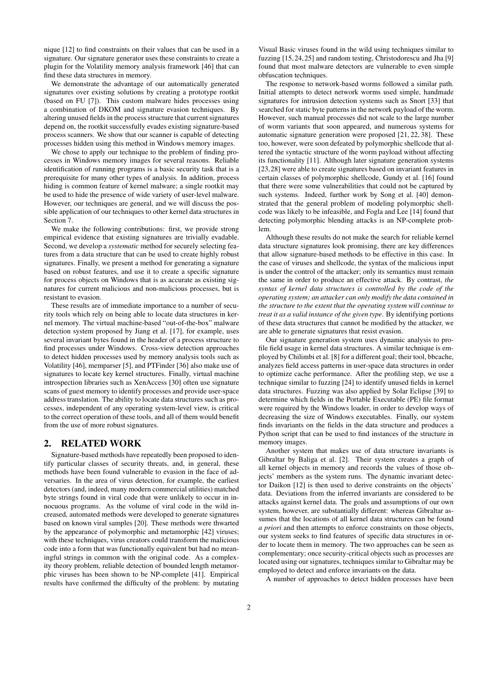nique [12] to find constraints on their values that can be used in a signature. Our signature generator uses these constraints to create a plugin for the Volatility memory analysis framework [46] that can find these data structures in memory.

We demonstrate the advantage of our automatically generated signatures over existing solutions by creating a prototype rootkit (based on FU [7]). This custom malware hides processes using a combination of DKOM and signature evasion techniques. By altering unused fields in the process structure that current signatures depend on, the rootkit successfully evades existing signature-based process scanners. We show that our scanner is capable of detecting processes hidden using this method in Windows memory images.

We chose to apply our technique to the problem of finding processes in Windows memory images for several reasons. Reliable identification of running programs is a basic security task that is a prerequisite for many other types of analysis. In addition, process hiding is common feature of kernel malware; a single rootkit may be used to hide the presence of wide variety of user-level malware. However, our techniques are general, and we will discuss the possible application of our techniques to other kernel data structures in Section 7.

We make the following contributions: first, we provide strong empirical evidence that existing signatures are trivially evadable. Second, we develop a *systematic* method for securely selecting features from a data structure that can be used to create highly robust signatures. Finally, we present a method for generating a signature based on robust features, and use it to create a specific signature for process objects on Windows that is as accurate as existing signatures for current malicious and non-malicious processes, but is resistant to evasion.

These results are of immediate importance to a number of security tools which rely on being able to locate data structures in kernel memory. The virtual machine-based "out-of-the-box" malware detection system proposed by Jiang et al. [17], for example, uses several invariant bytes found in the header of a process structure to find processes under Windows. Cross-view detection approaches to detect hidden processes used by memory analysis tools such as Volatility [46], memparser [5], and PTFinder [36] also make use of signatures to locate key kernel structures. Finally, virtual machine introspection libraries such as XenAccess [30] often use signature scans of guest memory to identify processes and provide user-space address translation. The ability to locate data structures such as processes, independent of any operating system-level view, is critical to the correct operation of these tools, and all of them would benefit from the use of more robust signatures.

# 2. RELATED WORK

Signature-based methods have repeatedly been proposed to identify particular classes of security threats, and, in general, these methods have been found vulnerable to evasion in the face of adversaries. In the area of virus detection, for example, the earliest detectors (and, indeed, many modern commercial utilities) matched byte strings found in viral code that were unlikely to occur in innocuous programs. As the volume of viral code in the wild increased, automated methods were developed to generate signatures based on known viral samples [20]. These methods were thwarted by the appearance of polymorphic and metamorphic [42] viruses; with these techniques, virus creators could transform the malicious code into a form that was functionally equivalent but had no meaningful strings in common with the original code. As a complexity theory problem, reliable detection of bounded length metamorphic viruses has been shown to be NP-complete [41]. Empirical results have confirmed the difficulty of the problem: by mutating

Visual Basic viruses found in the wild using techniques similar to fuzzing [15, 24, 25] and random testing, Christodorescu and Jha [9] found that most malware detectors are vulnerable to even simple obfuscation techniques.

The response to network-based worms followed a similar path. Initial attempts to detect network worms used simple, handmade signatures for intrusion detection systems such as Snort [33] that searched for static byte patterns in the network payload of the worm. However, such manual processes did not scale to the large number of worm variants that soon appeared, and numerous systems for automatic signature generation were proposed [21, 22, 38]. These too, however, were soon defeated by polymorphic shellcode that altered the syntactic structure of the worm payload without affecting its functionality [11]. Although later signature generation systems [23,28] were able to create signatures based on invariant features in certain classes of polymorphic shellcode, Gundy et al. [16] found that there were some vulnerabilities that could not be captured by such systems. Indeed, further work by Song et al. [40] demonstrated that the general problem of modeling polymorphic shellcode was likely to be infeasible, and Fogla and Lee [14] found that detecting polymorphic blending attacks is an NP-complete problem.

Although these results do not make the search for reliable kernel data structure signatures look promising, there are key differences that allow signature-based methods to be effective in this case. In the case of viruses and shellcode, the syntax of the malicious input is under the control of the attacker; only its semantics must remain the same in order to produce an effective attack. By contrast, *the syntax of kernel data structures is controlled by the code of the operating system; an attacker can only modify the data contained in the structure to the extent that the operating system will continue to treat it as a valid instance of the given type*. By identifying portions of these data structures that cannot be modified by the attacker, we are able to generate signatures that resist evasion.

Our signature generation system uses dynamic analysis to profile field usage in kernel data structures. A similar technique is employed by Chilimbi et al. [8] for a different goal; their tool, bbcache, analyzes field access patterns in user-space data structures in order to optimize cache performance. After the profiling step, we use a technique similar to fuzzing [24] to identify unused fields in kernel data structures. Fuzzing was also applied by Solar Eclipse [39] to determine which fields in the Portable Executable (PE) file format were required by the Windows loader, in order to develop ways of decreasing the size of Windows executables. Finally, our system finds invariants on the fields in the data structure and produces a Python script that can be used to find instances of the structure in memory images.

Another system that makes use of data structure invariants is Gibraltar by Baliga et al. [2]. Their system creates a graph of all kernel objects in memory and records the values of those objects' members as the system runs. The dynamic invariant detector Daikon [12] is then used to derive constraints on the objects' data. Deviations from the inferred invariants are considered to be attacks against kernel data. The goals and assumptions of our own system, however, are substantially different: whereas Gibraltar assumes that the locations of all kernel data structures can be found *a priori* and then attempts to enforce constraints on those objects, our system seeks to find features of specific data structures in order to locate them in memory. The two approaches can be seen as complementary; once security-critical objects such as processes are located using our signatures, techniques similar to Gibraltar may be employed to detect and enforce invariants on the data.

A number of approaches to detect hidden processes have been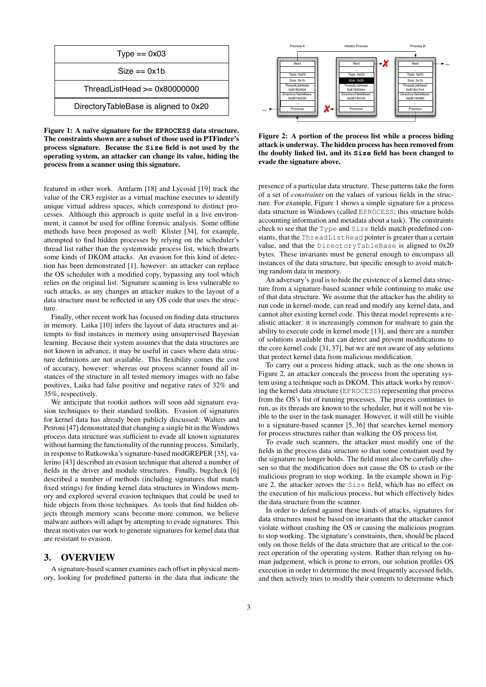

Figure 1: A naïve signature for the **EPROCESS** data structure. The constraints shown are a subset of those used in PTFinder's process signature. Because the **Size** field is not used by the operating system, an attacker can change its value, hiding the process from a scanner using this signature.

featured in other work. Antfarm [18] and Lycosid [19] track the value of the CR3 register as a virtual machine executes to identify unique virtual address spaces, which correspond to distinct processes. Although this approach is quite useful in a live environment, it cannot be used for offline forensic analysis. Some offline methods have been proposed as well: Klister [34], for example, attempted to find hidden processes by relying on the scheduler's thread list rather than the systemwide process list, which thwarts some kinds of DKOM attacks. An evasion for this kind of detection has been demonstrated [1], however: an attacker can replace the OS scheduler with a modified copy, bypassing any tool which relies on the original list. Signature scanning is less vulnerable to such attacks, as any changes an attacker makes to the layout of a data structure must be reflected in any OS code that uses the structure.

Finally, other recent work has focused on finding data structures in memory. Laika [10] infers the layout of data structures and attempts to find instances in memory using unsupervised Bayesian learning. Because their system assumes that the data structures are not known in advance, it may be useful in cases where data structure definitions are not available. This flexibility comes the cost of accuracy, however: whereas our process scanner found all instances of the structure in all tested memory images with no false positives, Laika had false positive and negative rates of 32% and 35%, respectively.

We anticipate that rootkit authors will soon add signature evasion techniques to their standard toolkits. Evasion of signatures for kernel data has already been publicly discussed: Walters and Petroni [47] demonstrated that changing a single bit in the Windows process data structure was sufficient to evade all known signatures without harming the functionality of the running process. Similarly, in response to Rutkowska's signature-based modGREPER [35], valerino [43] described an evasion technique that altered a number of fields in the driver and module structures. Finally, bugcheck [6] described a number of methods (including signatures that match fixed strings) for finding kernel data structures in Windows memory and explored several evasion techniques that could be used to hide objects from those techniques. As tools that find hidden objects through memory scans become more common, we believe malware authors will adapt by attempting to evade signatures. This threat motivates our work to generate signatures for kernel data that are resistant to evasion.

# 3. OVERVIEW

A signature-based scanner examines each offset in physical memory, looking for predefined patterns in the data that indicate the



Figure 2: A portion of the process list while a process hiding attack is underway. The hidden process has been removed from the doubly linked list, and its **Size** field has been changed to evade the signature above.

presence of a particular data structure. These patterns take the form of a set of *constraints* on the values of various fields in the structure. For example, Figure 1 shows a simple signature for a process data structure in Windows (called EPROCESS; this structure holds accounting information and metadata about a task). The constraints check to see that the Type and Size fields match predefined constants, that the ThreadListHead pointer is greater than a certain value, and that the DirectoryTableBase is aligned to 0x20 bytes. These invariants must be general enough to encompass all instances of the data structure, but specific enough to avoid matching random data in memory.

An adversary's goal is to hide the existence of a kernel data structure from a signature-based scanner while continuing to make use of that data structure. We assume that the attacker has the ability to run code in kernel-mode, can read and modify any kernel data, and cannot alter existing kernel code. This threat model represents a realistic attacker: it is increasingly common for malware to gain the ability to execute code in kernel mode [13], and there are a number of solutions available that can detect and prevent modifications to the core kernel code [31, 37], but we are not aware of any solutions that protect kernel data from malicious modification.

To carry out a process hiding attack, such as the one shown in Figure 2, an attacker conceals the process from the operating system using a technique such as DKOM. This attack works by removing the kernel data structure (EPROCESS) representing that process from the OS's list of running processes. The process continues to run, as its threads are known to the scheduler, but it will not be visible to the user in the task manager. However, it will still be visible to a signature-based scanner [5, 36] that searches kernel memory for process structures rather than walking the OS process list.

To evade such scanners, the attacker must modify one of the fields in the process data structure so that some constraint used by the signature no longer holds. The field must also be carefully chosen so that the modification does not cause the OS to crash or the malicious program to stop working. In the example shown in Figure 2, the attacker zeroes the Size field, which has no effect on the execution of his malicious process, but which effectively hides the data structure from the scanner.

In order to defend against these kinds of attacks, signatures for data structures must be based on invariants that the attacker cannot violate without crashing the OS or causing the malicious program to stop working. The signature's constraints, then, should be placed only on those fields of the data structure that are critical to the correct operation of the operating system. Rather than relying on human judgement, which is prone to errors, our solution profiles OS execution in order to determine the most frequently accessed fields, and then actively tries to modify their contents to determine which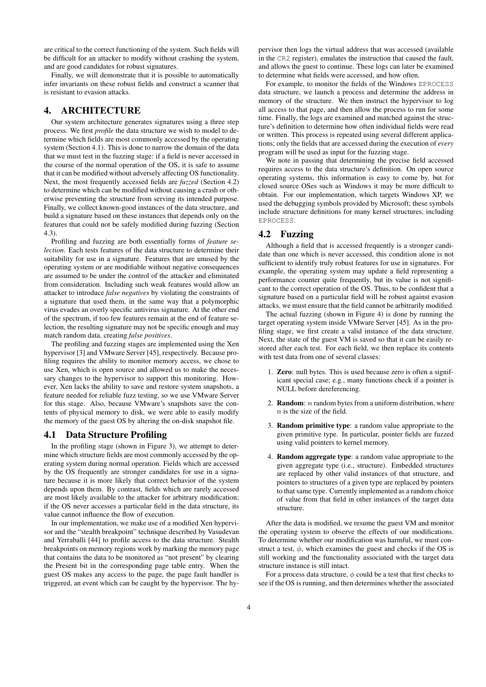are critical to the correct functioning of the system. Such fields will be difficult for an attacker to modify without crashing the system, and are good candidates for robust signatures.

Finally, we will demonstrate that it is possible to automatically infer invariants on these robust fields and construct a scanner that is resistant to evasion attacks.

# 4. ARCHITECTURE

Our system architecture generates signatures using a three step process. We first *profile* the data structure we wish to model to determine which fields are most commonly accessed by the operating system (Section 4.1). This is done to narrow the domain of the data that we must test in the fuzzing stage: if a field is never accessed in the course of the normal operation of the OS, it is safe to assume that it can be modified without adversely affecting OS functionality. Next, the most frequently accessed fields are *fuzzed* (Section 4.2) to determine which can be modified without causing a crash or otherwise preventing the structure from serving its intended purpose. Finally, we collect known-good instances of the data structure, and build a signature based on these instances that depends only on the features that could not be safely modified during fuzzing (Section 4.3).

Profiling and fuzzing are both essentially forms of *feature selection*. Each tests features of the data structure to determine their suitability for use in a signature. Features that are unused by the operating system or are modifiable without negative consequences are assumed to be under the control of the attacker and eliminated from consideration. Including such weak features would allow an attacker to introduce *false negatives* by violating the constraints of a signature that used them, in the same way that a polymorphic virus evades an overly specific antivirus signature. At the other end of the spectrum, if too few features remain at the end of feature selection, the resulting signature may not be specific enough and may match random data, creating *false positives*.

The profiling and fuzzing stages are implemented using the Xen hypervisor [3] and VMware Server [45], respectively. Because profiling requires the ability to monitor memory access, we chose to use Xen, which is open source and allowed us to make the necessary changes to the hypervisor to support this monitoring. However, Xen lacks the ability to save and restore system snapshots, a feature needed for reliable fuzz testing, so we use VMware Server for this stage. Also, because VMware's snapshots save the contents of physical memory to disk, we were able to easily modify the memory of the guest OS by altering the on-disk snapshot file.

# 4.1 Data Structure Profiling

In the profiling stage (shown in Figure 3), we attempt to determine which structure fields are most commonly accessed by the operating system during normal operation. Fields which are accessed by the OS frequently are stronger candidates for use in a signature because it is more likely that correct behavior of the system depends upon them. By contrast, fields which are rarely accessed are most likely available to the attacker for arbitrary modification; if the OS never accesses a particular field in the data structure, its value cannot influence the flow of execution.

In our implementation, we make use of a modified Xen hypervisor and the "stealth breakpoint" technique described by Vasudevan and Yerraballi [44] to profile access to the data structure. Stealth breakpoints on memory regions work by marking the memory page that contains the data to be monitored as "not present" by clearing the Present bit in the corresponding page table entry. When the guest OS makes any access to the page, the page fault handler is triggered, an event which can be caught by the hypervisor. The hy-

pervisor then logs the virtual address that was accessed (available in the CR2 register), emulates the instruction that caused the fault, and allows the guest to continue. These logs can later be examined to determine what fields were accessed, and how often.

For example, to monitor the fields of the Windows EPROCESS data structure, we launch a process and determine the address in memory of the structure. We then instruct the hypervisor to log all access to that page, and then allow the process to run for some time. Finally, the logs are examined and matched against the structure's definition to determine how often individual fields were read or written. This process is repeated using several different applications; only the fields that are accessed during the execution of *every* program will be used as input for the fuzzing stage.

We note in passing that determining the precise field accessed requires access to the data structure's definition. On open source operating systems, this information is easy to come by, but for closed source OSes such as Windows it may be more difficult to obtain. For our implementation, which targets Windows XP, we used the debugging symbols provided by Microsoft; these symbols include structure definitions for many kernel structures, including EPROCESS.

#### 4.2 Fuzzing

Although a field that is accessed frequently is a stronger candidate than one which is never accessed, this condition alone is not sufficient to identify truly robust features for use in signatures. For example, the operating system may update a field representing a performance counter quite frequently, but its value is not significant to the correct operation of the OS. Thus, to be confident that a signature based on a particular field will be robust against evasion attacks, we must ensure that the field cannot be arbitrarily modified.

The actual fuzzing (shown in Figure 4) is done by running the target operating system inside VMware Server [45]. As in the profiling stage, we first create a valid instance of the data structure. Next, the state of the guest VM is saved so that it can be easily restored after each test. For each field, we then replace its contents with test data from one of several classes:

- 1. Zero: null bytes. This is used because zero is often a significant special case; e.g., many functions check if a pointer is NULL before dereferencing.
- 2. **Random**:  $n$  random bytes from a uniform distribution, where  $n$  is the size of the field.
- 3. Random primitive type: a random value appropriate to the given primitive type. In particular, pointer fields are fuzzed using valid pointers to kernel memory.
- 4. Random aggregate type: a random value appropriate to the given aggregate type (i.e., structure). Embedded structures are replaced by other valid instances of that structure, and pointers to structures of a given type are replaced by pointers to that same type. Currently implemented as a random choice of value from that field in other instances of the target data structure.

After the data is modified, we resume the guest VM and monitor the operating system to observe the effects of our modifications. To determine whether our modification was harmful, we must construct a test,  $\phi$ , which examines the guest and checks if the OS is still working and the functionality associated with the target data structure instance is still intact.

For a process data structure,  $\phi$  could be a test that first checks to see if the OS is running, and then determines whether the associated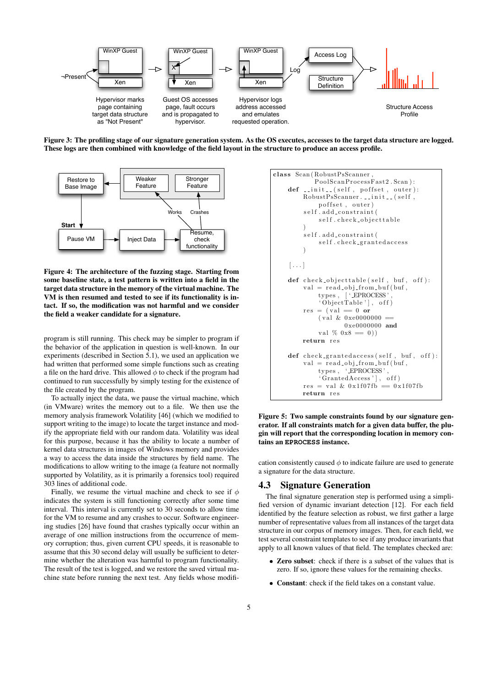

Figure 3: The profiling stage of our signature generation system. As the OS executes, accesses to the target data structure are logged. These logs are then combined with knowledge of the field layout in the structure to produce an access profile.



Figure 4: The architecture of the fuzzing stage. Starting from some baseline state, a test pattern is written into a field in the target data structure in the memory of the virtual machine. The VM is then resumed and tested to see if its functionality is intact. If so, the modification was not harmful and we consider the field a weaker candidate for a signature.

program is still running. This check may be simpler to program if the behavior of the application in question is well-known. In our experiments (described in Section 5.1), we used an application we had written that performed some simple functions such as creating a file on the hard drive. This allowed  $\phi$  to check if the program had continued to run successfully by simply testing for the existence of the file created by the program.

To actually inject the data, we pause the virtual machine, which (in VMware) writes the memory out to a file. We then use the memory analysis framework Volatility [46] (which we modified to support writing to the image) to locate the target instance and modify the appropriate field with our random data. Volatility was ideal for this purpose, because it has the ability to locate a number of kernel data structures in images of Windows memory and provides a way to access the data inside the structures by field name. The modifications to allow writing to the image (a feature not normally supported by Volatility, as it is primarily a forensics tool) required 303 lines of additional code.

Finally, we resume the virtual machine and check to see if  $\phi$ indicates the system is still functioning correctly after some time interval. This interval is currently set to 30 seconds to allow time for the VM to resume and any crashes to occur. Software engineering studies [26] have found that crashes typically occur within an average of one million instructions from the occurrence of memory corruption; thus, given current CPU speeds, it is reasonable to assume that this 30 second delay will usually be sufficient to determine whether the alteration was harmful to program functionality. The result of the test is logged, and we restore the saved virtual machine state before running the next test. Any fields whose modifi-

```
class Scan (RobustPsScanner,
       PoolScanProcessFast2 . Scan ):
def \text{-init-}(self, pdfset, outer):
    RobustPsScanner. \_ in it \_ (self ,poffset, outer)
    self.add_constraint(
         s elf.check_objecttable
    )
    self.add_constraint(
         s elf. check_grantedaccess
    )
\lceil \ldots \rceildef check_o object table (self, but, off):val = read(obj-from.buf(buf,types, ['EPROCESS'
         'ObjectTable '], off)
    res = (val == 0 or(va1 & 0xe0000000 ==0xe0000000 and
         val % 0x8 == 0)return res
def check_grantedaccess (self, buf, off):
    val = read\_obj\_from\_buf(buf,types, 'EPROCESS'
         '\,GrantedAccess '], off)
    res = val & 0x1f07fb = 0x1f07fbreturn res
```
Figure 5: Two sample constraints found by our signature generator. If all constraints match for a given data buffer, the plugin will report that the corresponding location in memory contains an **EPROCESS** instance.

cation consistently caused  $\phi$  to indicate failure are used to generate a signature for the data structure.

#### 4.3 Signature Generation

2 apply to all known values of that field. The templates checked are: The final signature generation step is performed using a simplified version of dynamic invariant detection [12]. For each field identified by the feature selection as robust, we first gather a large number of representative values from all instances of the target data structure in our corpus of memory images. Then, for each field, we test several constraint templates to see if any produce invariants that

- Zero subset: check if there is a subset of the values that is zero. If so, ignore these values for the remaining checks.
- Constant: check if the field takes on a constant value.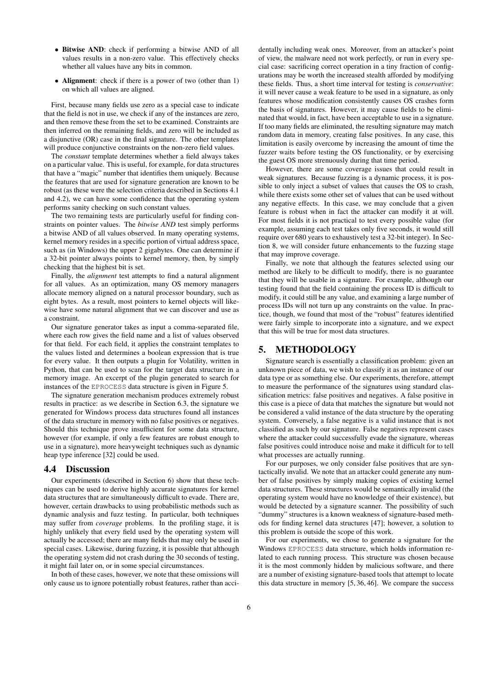- Bitwise AND: check if performing a bitwise AND of all values results in a non-zero value. This effectively checks whether all values have any bits in common.
- Alignment: check if there is a power of two (other than 1) on which all values are aligned.

First, because many fields use zero as a special case to indicate that the field is not in use, we check if any of the instances are zero, and then remove these from the set to be examined. Constraints are then inferred on the remaining fields, and zero will be included as a disjunctive (OR) case in the final signature. The other templates will produce conjunctive constraints on the non-zero field values.

The *constant* template determines whether a field always takes on a particular value. This is useful, for example, for data structures that have a "magic" number that identifies them uniquely. Because the features that are used for signature generation are known to be robust (as these were the selection criteria described in Sections 4.1 and 4.2), we can have some confidence that the operating system performs sanity checking on such constant values.

The two remaining tests are particularly useful for finding constraints on pointer values. The *bitwise AND* test simply performs a bitwise AND of all values observed. In many operating systems, kernel memory resides in a specific portion of virtual address space, such as (in Windows) the upper 2 gigabytes. One can determine if a 32-bit pointer always points to kernel memory, then, by simply checking that the highest bit is set.

Finally, the *alignment* test attempts to find a natural alignment for all values. As an optimization, many OS memory managers allocate memory aligned on a natural processor boundary, such as eight bytes. As a result, most pointers to kernel objects will likewise have some natural alignment that we can discover and use as a constraint.

Our signature generator takes as input a comma-separated file, where each row gives the field name and a list of values observed for that field. For each field, it applies the constraint templates to the values listed and determines a boolean expression that is true for every value. It then outputs a plugin for Volatility, written in Python, that can be used to scan for the target data structure in a memory image. An excerpt of the plugin generated to search for instances of the EPROCESS data structure is given in Figure 5.

The signature generation mechanism produces extremely robust results in practice: as we describe in Section 6.3, the signature we generated for Windows process data structures found all instances of the data structure in memory with no false positives or negatives. Should this technique prove insufficient for some data structure, however (for example, if only a few features are robust enough to use in a signature), more heavyweight techniques such as dynamic heap type inference [32] could be used.

#### 4.4 Discussion

Our experiments (described in Section 6) show that these techniques can be used to derive highly accurate signatures for kernel data structures that are simultaneously difficult to evade. There are, however, certain drawbacks to using probabilistic methods such as dynamic analysis and fuzz testing. In particular, both techniques may suffer from *coverage* problems. In the profiling stage, it is highly unlikely that every field used by the operating system will actually be accessed; there are many fields that may only be used in special cases. Likewise, during fuzzing, it is possible that although the operating system did not crash during the 30 seconds of testing, it might fail later on, or in some special circumstances.

In both of these cases, however, we note that these omissions will only cause us to ignore potentially robust features, rather than accidentally including weak ones. Moreover, from an attacker's point of view, the malware need not work perfectly, or run in every special case: sacrificing correct operation in a tiny fraction of configurations may be worth the increased stealth afforded by modifying these fields. Thus, a short time interval for testing is *conservative*: it will never cause a weak feature to be used in a signature, as only features whose modification consistently causes OS crashes form the basis of signatures. However, it may cause fields to be eliminated that would, in fact, have been acceptable to use in a signature. If too many fields are eliminated, the resulting signature may match random data in memory, creating false positives. In any case, this limitation is easily overcome by increasing the amount of time the fuzzer waits before testing the OS functionality, or by exercising the guest OS more strenuously during that time period.

However, there are some coverage issues that could result in weak signatures. Because fuzzing is a dynamic process, it is possible to only inject a subset of values that causes the OS to crash, while there exists some other set of values that can be used without any negative effects. In this case, we may conclude that a given feature is robust when in fact the attacker can modify it at will. For most fields it is not practical to test every possible value (for example, assuming each test takes only five seconds, it would still require over 680 years to exhaustively test a 32-bit integer). In Section 8, we will consider future enhancements to the fuzzing stage that may improve coverage.

Finally, we note that although the features selected using our method are likely to be difficult to modify, there is no guarantee that they will be usable in a signature. For example, although our testing found that the field containing the process ID is difficult to modify, it could still be any value, and examining a large number of process IDs will not turn up any constraints on the value. In practice, though, we found that most of the "robust" features identified were fairly simple to incorporate into a signature, and we expect that this will be true for most data structures.

#### 5. METHODOLOGY

Signature search is essentially a classification problem: given an unknown piece of data, we wish to classify it as an instance of our data type or as something else. Our experiments, therefore, attempt to measure the performance of the signatures using standard classification metrics: false positives and negatives. A false positive in this case is a piece of data that matches the signature but would not be considered a valid instance of the data structure by the operating system. Conversely, a false negative is a valid instance that is not classified as such by our signature. False negatives represent cases where the attacker could successfully evade the signature, whereas false positives could introduce noise and make it difficult for to tell what processes are actually running.

For our purposes, we only consider false positives that are syntactically invalid. We note that an attacker could generate any number of false positives by simply making copies of existing kernel data structures. These structures would be semantically invalid (the operating system would have no knowledge of their existence), but would be detected by a signature scanner. The possibility of such "dummy" structures is a known weakness of signature-based methods for finding kernel data structures [47]; however, a solution to this problem is outside the scope of this work.

For our experiments, we chose to generate a signature for the Windows EPROCESS data structure, which holds information related to each running process. This structure was chosen because it is the most commonly hidden by malicious software, and there are a number of existing signature-based tools that attempt to locate this data structure in memory [5, 36, 46]. We compare the success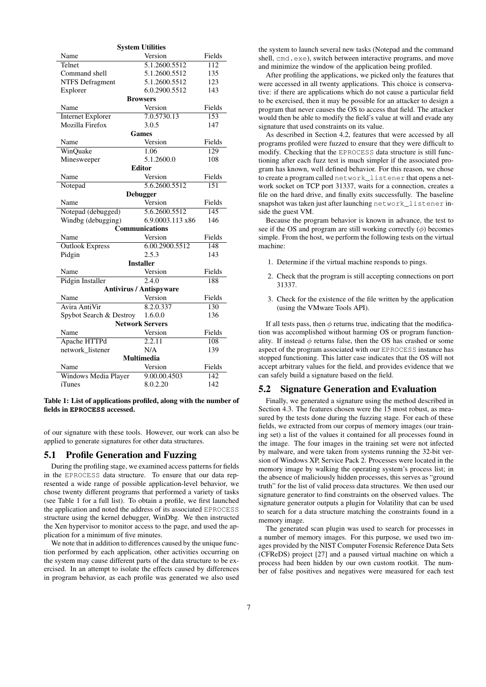| <b>System Utilities</b>        |                       |                  |  |  |  |  |
|--------------------------------|-----------------------|------------------|--|--|--|--|
| Name                           | Version               | Fields           |  |  |  |  |
| Telnet                         | 5.1.2600.5512         | $\overline{112}$ |  |  |  |  |
| Command shell                  | 5.1.2600.5512         | 135              |  |  |  |  |
| <b>NTFS</b> Defragment         | 5.1.2600.5512         | 123              |  |  |  |  |
| Explorer                       | 6.0.2900.5512         | 143              |  |  |  |  |
| <b>Browsers</b>                |                       |                  |  |  |  |  |
| Name                           | Version               | Fields           |  |  |  |  |
| <b>Internet Explorer</b>       | 7.0.5730.13           | 153              |  |  |  |  |
| Mozilla Firefox                | 3.0.5                 | 147              |  |  |  |  |
|                                | Games                 |                  |  |  |  |  |
| Name                           | Version               | Fields           |  |  |  |  |
| WinQuake                       | 1.06                  | 129              |  |  |  |  |
| Minesweeper                    | 5.1.2600.0            | 108              |  |  |  |  |
| <b>Editor</b>                  |                       |                  |  |  |  |  |
| Name                           | Version               | Fields           |  |  |  |  |
| Notepad                        | 5.6.2600.5512         | 151              |  |  |  |  |
|                                | <b>Debugger</b>       |                  |  |  |  |  |
| Name                           | Version               | Fields           |  |  |  |  |
| Notepad (debugged)             | 5.6.2600.5512         | 145              |  |  |  |  |
| Windbg (debugging)             | 6.9.0003.113 x86      | 146              |  |  |  |  |
|                                | <b>Communications</b> |                  |  |  |  |  |
| Name                           | Version               | Fields           |  |  |  |  |
| <b>Outlook Express</b>         | 6.00.2900.5512        | 148              |  |  |  |  |
| Pidgin                         | 2.5.3                 | 143              |  |  |  |  |
| <b>Installer</b>               |                       |                  |  |  |  |  |
| Name                           | Version               | Fields           |  |  |  |  |
| <b>Pidgin Installer</b>        | 2.4.0                 | 188              |  |  |  |  |
| <b>Antivirus / Antispyware</b> |                       |                  |  |  |  |  |
| Name                           | Version               | Fields           |  |  |  |  |
| Avira AntiVir                  | 8.2.0.337             | 130              |  |  |  |  |
| Spybot Search & Destroy        | 1.6.0.0               | 136              |  |  |  |  |
| <b>Network Servers</b>         |                       |                  |  |  |  |  |
| Name                           | Version               | Fields           |  |  |  |  |
| Apache HTTPd                   | 2.2.11                | 108              |  |  |  |  |
| network_listener               | N/A                   | 139              |  |  |  |  |
| <b>Multimedia</b>              |                       |                  |  |  |  |  |
| Name                           | Version               | Fields           |  |  |  |  |
| Windows Media Player           | 9.00.00.4503          | 142              |  |  |  |  |
| <i>i</i> Tunes                 | 8.0.2.20              | 142              |  |  |  |  |

Table 1: List of applications profiled, along with the number of fields in **EPROCESS** accessed.

of our signature with these tools. However, our work can also be applied to generate signatures for other data structures.

#### 5.1 Profile Generation and Fuzzing

During the profiling stage, we examined access patterns for fields in the EPROCESS data structure. To ensure that our data represented a wide range of possible application-level behavior, we chose twenty different programs that performed a variety of tasks (see Table 1 for a full list). To obtain a profile, we first launched the application and noted the address of its associated EPROCESS structure using the kernel debugger, WinDbg. We then instructed the Xen hypervisor to monitor access to the page, and used the application for a minimum of five minutes.

We note that in addition to differences caused by the unique function performed by each application, other activities occurring on the system may cause different parts of the data structure to be exercised. In an attempt to isolate the effects caused by differences in program behavior, as each profile was generated we also used

the system to launch several new tasks (Notepad and the command shell, cmd.exe), switch between interactive programs, and move and minimize the window of the application being profiled.

After profiling the applications, we picked only the features that were accessed in all twenty applications. This choice is conservative: if there are applications which do not cause a particular field to be exercised, then it may be possible for an attacker to design a program that never causes the OS to access that field. The attacker would then be able to modify the field's value at will and evade any signature that used constraints on its value.

As described in Section 4.2, features that were accessed by all programs profiled were fuzzed to ensure that they were difficult to modify. Checking that the EPROCESS data structure is still functioning after each fuzz test is much simpler if the associated program has known, well defined behavior. For this reason, we chose to create a program called network\_listener that opens a network socket on TCP port 31337, waits for a connection, creates a file on the hard drive, and finally exits successfully. The baseline snapshot was taken just after launching network\_listener inside the guest VM.

Because the program behavior is known in advance, the test to see if the OS and program are still working correctly  $(\phi)$  becomes simple. From the host, we perform the following tests on the virtual machine:

- 1. Determine if the virtual machine responds to pings.
- 2. Check that the program is still accepting connections on port 31337.
- 3. Check for the existence of the file written by the application (using the VMware Tools API).

If all tests pass, then  $\phi$  returns true, indicating that the modification was accomplished without harming OS or program functionality. If instead  $\phi$  returns false, then the OS has crashed or some aspect of the program associated with our EPROCESS instance has stopped functioning. This latter case indicates that the OS will not accept arbitrary values for the field, and provides evidence that we can safely build a signature based on the field.

## 5.2 Signature Generation and Evaluation

Finally, we generated a signature using the method described in Section 4.3. The features chosen were the 15 most robust, as measured by the tests done during the fuzzing stage. For each of these fields, we extracted from our corpus of memory images (our training set) a list of the values it contained for all processes found in the image. The four images in the training set were not infected by malware, and were taken from systems running the 32-bit version of Windows XP, Service Pack 2. Processes were located in the memory image by walking the operating system's process list; in the absence of maliciously hidden processes, this serves as "ground truth" for the list of valid process data structures. We then used our signature generator to find constraints on the observed values. The signature generator outputs a plugin for Volatility that can be used to search for a data structure matching the constraints found in a memory image.

The generated scan plugin was used to search for processes in a number of memory images. For this purpose, we used two images provided by the NIST Computer Forensic Reference Data Sets (CFReDS) project [27] and a paused virtual machine on which a process had been hidden by our own custom rootkit. The number of false positives and negatives were measured for each test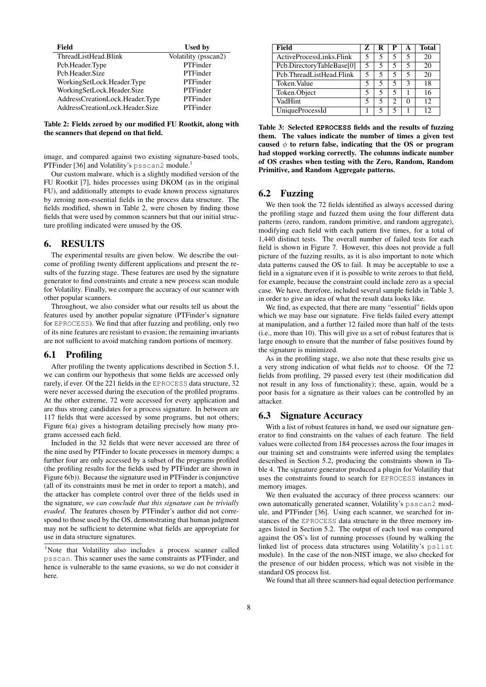| Field                           | Used by              |
|---------------------------------|----------------------|
| ThreadListHead.Blink            | Volatility (psscan2) |
| Pcb.Header.Type                 | PTFinder             |
| Pcb.Header.Size                 | PTFinder             |
| WorkingSetLock.Header.Type      | PTFinder             |
| WorkingSetLock.Header.Size      | PTFinder             |
| AddressCreationLock.Header.Type | PTFinder             |
| AddressCreationLock.Header.Size | PTFinder             |

Table 2: Fields zeroed by our modified FU Rootkit, along with the scanners that depend on that field.

image, and compared against two existing signature-based tools, PTFinder [36] and Volatility's psscan2 module.<sup>1</sup>

Our custom malware, which is a slightly modified version of the FU Rootkit [7], hides processes using DKOM (as in the original FU), and additionally attempts to evade known process signatures by zeroing non-essential fields in the process data structure. The fields modified, shown in Table 2, were chosen by finding those fields that were used by common scanners but that our initial structure profiling indicated were unused by the OS.

# 6. RESULTS

The experimental results are given below. We describe the outcome of profiling twenty different applications and present the results of the fuzzing stage. These features are used by the signature generator to find constraints and create a new process scan module for Volatility. Finally, we compare the accuracy of our scanner with other popular scanners.

Throughout, we also consider what our results tell us about the features used by another popular signature (PTFinder's signature for EPROCESS). We find that after fuzzing and profiling, only two of its nine features are resistant to evasion; the remaining invariants are not sufficient to avoid matching random portions of memory.

## 6.1 Profiling

After profiling the twenty applications described in Section 5.1, we can confirm our hypothesis that some fields are accessed only rarely, if ever. Of the 221 fields in the EPROCESS data structure, 32 were never accessed during the execution of the profiled programs. At the other extreme, 72 were accessed for every application and are thus strong candidates for a process signature. In between are 117 fields that were accessed by some programs, but not others; Figure 6(a) gives a histogram detailing precisely how many programs accessed each field.

Included in the 32 fields that were never accessed are three of the nine used by PTFinder to locate processes in memory dumps; a further four are only accessed by a subset of the programs profiled (the profiling results for the fields used by PTFinder are shown in Figure 6(b)). Because the signature used in PTFinder is conjunctive (all of its constraints must be met in order to report a match), and the attacker has complete control over three of the fields used in the signature, *we can conclude that this signature can be trivially evaded*. The features chosen by PTFinder's author did not correspond to those used by the OS, demonstrating that human judgment may not be sufficient to determine what fields are appropriate for use in data structure signatures.

<sup>1</sup>Note that Volatility also includes a process scanner called psscan. This scanner uses the same constraints as PTFinder, and hence is vulnerable to the same evasions, so we do not consider it here.

| Field                      |   | ĸ | P | A | <b>Total</b> |
|----------------------------|---|---|---|---|--------------|
| ActiveProcessLinks.Flink   | 5 |   |   | 5 | 20           |
| Pcb.DirectoryTableBase[0]  | 5 | 5 |   | 5 | 20           |
| Pcb. ThreadListHead. Flink | 5 |   |   | 5 | 20           |
| Token. Value               | 5 |   | 5 | 3 | 18           |
| Token.Object               | 5 | 5 | 5 |   | 16           |
| VadHint                    | 5 |   | 2 |   | 12           |
| <b>UniqueProcessId</b>     |   |   |   |   | 12           |

Table 3: Selected **EPROCESS** fields and the results of fuzzing them. The values indicate the number of times a given test caused  $\phi$  to return false, indicating that the OS or program had stopped working correctly. The columns indicate number of OS crashes when testing with the Zero, Random, Random Primitive, and Random Aggregate patterns.

#### 6.2 Fuzzing

We then took the 72 fields identified as always accessed during the profiling stage and fuzzed them using the four different data patterns (zero, random, random primitive, and random aggregate), modifying each field with each pattern five times, for a total of 1,440 distinct tests. The overall number of failed tests for each field is shown in Figure 7. However, this does not provide a full picture of the fuzzing results, as it is also important to note which data patterns caused the OS to fail. It may be acceptable to use a field in a signature even if it is possible to write zeroes to that field, for example, because the constraint could include zero as a special case. We have, therefore, included several sample fields in Table 3, in order to give an idea of what the result data looks like.

We find, as expected, that there are many "essential" fields upon which we may base our signature. Five fields failed every attempt at manipulation, and a further 12 failed more than half of the tests (i.e., more than 10). This will give us a set of robust features that is large enough to ensure that the number of false positives found by the signature is minimized.

As in the profiling stage, we also note that these results give us a very strong indication of what fields *not* to choose. Of the 72 fields from profiling, 29 passed every test (their modification did not result in any loss of functionality); these, again, would be a poor basis for a signature as their values can be controlled by an attacker.

#### 6.3 Signature Accuracy

With a list of robust features in hand, we used our signature generator to find constraints on the values of each feature. The field values were collected from 184 processes across the four images in our training set and constraints were inferred using the templates described in Section 5.2, producing the constraints shown in Table 4. The signature generator produced a plugin for Volatility that uses the constraints found to search for EPROCESS instances in memory images.

We then evaluated the accuracy of three process scanners: our own automatically generated scanner, Volatility's psscan2 module, and PTFinder [36]. Using each scanner, we searched for instances of the EPROCESS data structure in the three memory images listed in Section 5.2. The output of each tool was compared against the OS's list of running processes (found by walking the linked list of process data structures using Volatility's pslist module). In the case of the non-NIST image, we also checked for the presence of our hidden process, which was not visible in the standard OS process list.

We found that all three scanners had equal detection performance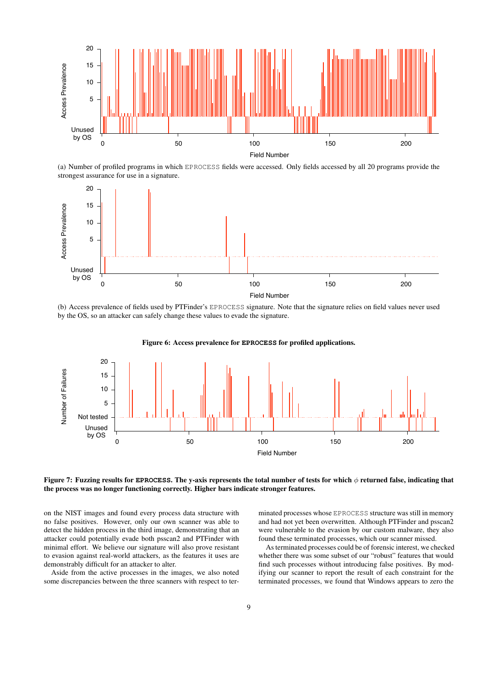

(a) Number of profiled programs in which EPROCESS fields were accessed. Only fields accessed by all 20 programs provide the strongest assurance for use in a signature.



(b) Access prevalence of fields used by PTFinder's EPROCESS signature. Note that the signature relies on field values never used by the OS, so an attacker can safely change these values to evade the signature.





Figure 7: Fuzzing results for **EPROCESS**. The y-axis represents the total number of tests for which φ returned false, indicating that the process was no longer functioning correctly. Higher bars indicate stronger features.

on the NIST images and found every process data structure with no false positives. However, only our own scanner was able to detect the hidden process in the third image, demonstrating that an attacker could potentially evade both psscan2 and PTFinder with minimal effort. We believe our signature will also prove resistant to evasion against real-world attackers, as the features it uses are demonstrably difficult for an attacker to alter.

Aside from the active processes in the images, we also noted some discrepancies between the three scanners with respect to terminated processes whose EPROCESS structure was still in memory and had not yet been overwritten. Although PTFinder and psscan2 were vulnerable to the evasion by our custom malware, they also found these terminated processes, which our scanner missed.

As terminated processes could be of forensic interest, we checked whether there was some subset of our "robust" features that would find such processes without introducing false positives. By modifying our scanner to report the result of each constraint for the terminated processes, we found that Windows appears to zero the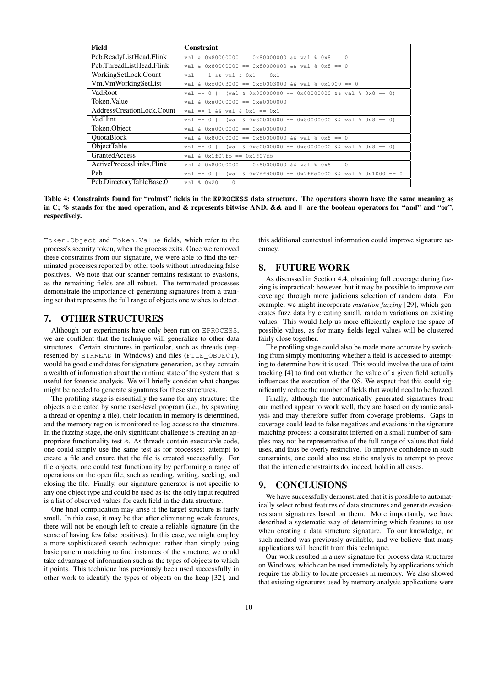| Field                      | Constraint                                                        |
|----------------------------|-------------------------------------------------------------------|
| Pcb.ReadyListHead.Flink    | val & 0x80000000 == 0x80000000 && val % 0x8 == 0                  |
| Pcb. ThreadListHead. Flink | val & 0x80000000 == 0x80000000 && val % 0x8 == 0                  |
| WorkingSetLock.Count       | $val == 1$ & val & $0x1 == 0x1$                                   |
| Vm. Vm Working SetList     | val & 0xc0003000 == 0xc0003000 && val % 0x1000 == 0               |
| VadRoot                    | val == 0    (val & 0x80000000 == 0x80000000 & & val % 0x8 == 0)   |
| Token. Value               | $val & 0xe0000000 == 0xe0000000$                                  |
| AddressCreationLock.Count  | $val == 1$ && val & $0x1 == 0x1$                                  |
| VadHint                    | val == 0    (val & 0x80000000 == 0x80000000 & & val % 0x8 == 0)   |
| Token.Object               | $val & 0xe0000000 == 0xe0000000$                                  |
| <b>OuotaBlock</b>          | val & 0x80000000 == 0x80000000 && val % 0x8 == 0                  |
| <b>ObjectTable</b>         |                                                                   |
| GrantedAccess              | val & $0x1f07fb == 0x1f07fb$                                      |
| ActiveProcessLinks.Flink   | val & 0x80000000 == 0x80000000 && val % 0x8 == 0                  |
| Peb                        | val == 0    (val & 0x7ffd0000 == 0x7ffd0000 && val % 0x1000 == 0) |
| Pcb.DirectoryTableBase.0   | $val$ % $0x20 == 0$                                               |

Table 4: Constraints found for "robust" fields in the **EPROCESS** data structure. The operators shown have the same meaning as in C; % stands for the mod operation, and & represents bitwise AND.  $&$  and  $\parallel$  are the boolean operators for "and" and "or", respectively.

Token.Object and Token.Value fields, which refer to the process's security token, when the process exits. Once we removed these constraints from our signature, we were able to find the terminated processes reported by other tools without introducing false positives. We note that our scanner remains resistant to evasions, as the remaining fields are all robust. The terminated processes demonstrate the importance of generating signatures from a training set that represents the full range of objects one wishes to detect.

# 7. OTHER STRUCTURES

Although our experiments have only been run on EPROCESS, we are confident that the technique will generalize to other data structures. Certain structures in particular, such as threads (represented by ETHREAD in Windows) and files (FILE\_OBJECT), would be good candidates for signature generation, as they contain a wealth of information about the runtime state of the system that is useful for forensic analysis. We will briefly consider what changes might be needed to generate signatures for these structures.

The profiling stage is essentially the same for any structure: the objects are created by some user-level program (i.e., by spawning a thread or opening a file), their location in memory is determined, and the memory region is monitored to log access to the structure. In the fuzzing stage, the only significant challenge is creating an appropriate functionality test  $\phi$ . As threads contain executable code, one could simply use the same test as for processes: attempt to create a file and ensure that the file is created successfully. For file objects, one could test functionality by performing a range of operations on the open file, such as reading, writing, seeking, and closing the file. Finally, our signature generator is not specific to any one object type and could be used as-is: the only input required is a list of observed values for each field in the data structure.

One final complication may arise if the target structure is fairly small. In this case, it may be that after eliminating weak features, there will not be enough left to create a reliable signature (in the sense of having few false positives). In this case, we might employ a more sophisticated search technique: rather than simply using basic pattern matching to find instances of the structure, we could take advantage of information such as the types of objects to which it points. This technique has previously been used successfully in other work to identify the types of objects on the heap [32], and

this additional contextual information could improve signature accuracy.

# 8. FUTURE WORK

As discussed in Section 4.4, obtaining full coverage during fuzzing is impractical; however, but it may be possible to improve our coverage through more judicious selection of random data. For example, we might incorporate *mutation fuzzing* [29], which generates fuzz data by creating small, random variations on existing values. This would help us more efficiently explore the space of possible values, as for many fields legal values will be clustered fairly close together.

The profiling stage could also be made more accurate by switching from simply monitoring whether a field is accessed to attempting to determine how it is used. This would involve the use of taint tracking [4] to find out whether the value of a given field actually influences the execution of the OS. We expect that this could significantly reduce the number of fields that would need to be fuzzed.

Finally, although the automatically generated signatures from our method appear to work well, they are based on dynamic analysis and may therefore suffer from coverage problems. Gaps in coverage could lead to false negatives and evasions in the signature matching process: a constraint inferred on a small number of samples may not be representative of the full range of values that field uses, and thus be overly restrictive. To improve confidence in such constraints, one could also use static analysis to attempt to prove that the inferred constraints do, indeed, hold in all cases.

# 9. CONCLUSIONS

We have successfully demonstrated that it is possible to automatically select robust features of data structures and generate evasionresistant signatures based on them. More importantly, we have described a systematic way of determining which features to use when creating a data structure signature. To our knowledge, no such method was previously available, and we believe that many applications will benefit from this technique.

Our work resulted in a new signature for process data structures on Windows, which can be used immediately by applications which require the ability to locate processes in memory. We also showed that existing signatures used by memory analysis applications were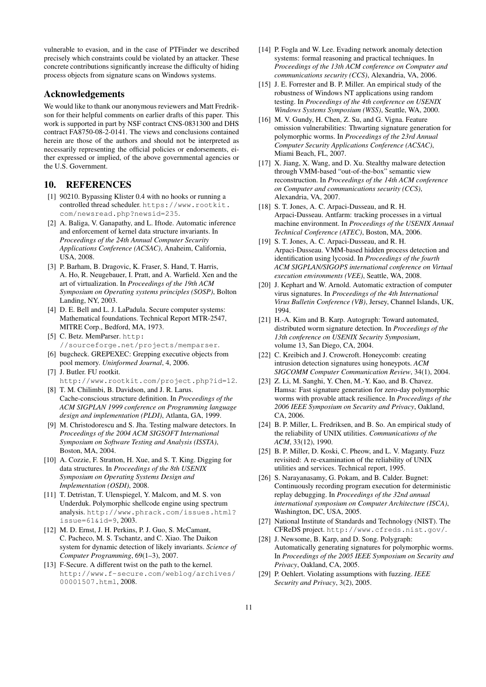vulnerable to evasion, and in the case of PTFinder we described precisely which constraints could be violated by an attacker. These concrete contributions significantly increase the difficulty of hiding process objects from signature scans on Windows systems.

# Acknowledgements

We would like to thank our anonymous reviewers and Matt Fredrikson for their helpful comments on earlier drafts of this paper. This work is supported in part by NSF contract CNS-0831300 and DHS contract FA8750-08-2-0141. The views and conclusions contained herein are those of the authors and should not be interpreted as necessarily representing the official policies or endorsements, either expressed or implied, of the above governmental agencies or the U.S. Government.

# 10. REFERENCES

- [1] 90210. Bypassing Klister 0.4 with no hooks or running a controlled thread scheduler. https://www.rootkit. com/newsread.php?newsid=235.
- [2] A. Baliga, V. Ganapathy, and L. Iftode. Automatic inference and enforcement of kernel data structure invariants. In *Proceedings of the 24th Annual Computer Security Applications Conference (ACSAC)*, Anaheim, California, USA, 2008.
- [3] P. Barham, B. Dragovic, K. Fraser, S. Hand, T. Harris, A. Ho, R. Neugebauer, I. Pratt, and A. Warfield. Xen and the art of virtualization. In *Proceedings of the 19th ACM Symposium on Operating systems principles (SOSP)*, Bolton Landing, NY, 2003.
- [4] D. E. Bell and L. J. LaPadula. Secure computer systems: Mathematical foundations. Technical Report MTR-2547, MITRE Corp., Bedford, MA, 1973.
- [5] C. Betz. MemParser. http: //sourceforge.net/projects/memparser.
- [6] bugcheck. GREPEXEC: Grepping executive objects from pool memory. *Uninformed Journal*, 4, 2006.
- [7] J. Butler. FU rootkit. http://www.rootkit.com/project.php?id=12.
- [8] T. M. Chilimbi, B. Davidson, and J. R. Larus. Cache-conscious structure definition. In *Proceedings of the ACM SIGPLAN 1999 conference on Programming language design and implementation (PLDI)*, Atlanta, GA, 1999.
- [9] M. Christodorescu and S. Jha. Testing malware detectors. In *Proceedings of the 2004 ACM SIGSOFT International Symposium on Software Testing and Analysis (ISSTA)*, Boston, MA, 2004.
- [10] A. Cozzie, F. Stratton, H. Xue, and S. T. King. Digging for data structures. In *Proceedings of the 8th USENIX Symposium on Operating Systems Design and Implementation (OSDI)*, 2008.
- [11] T. Detristan, T. Ulenspiegel, Y. Malcom, and M. S. von Underduk. Polymorphic shellcode engine using spectrum analysis. http://www.phrack.com/issues.html? issue=61&id=9, 2003.
- [12] M. D. Ernst, J. H. Perkins, P. J. Guo, S. McCamant, C. Pacheco, M. S. Tschantz, and C. Xiao. The Daikon system for dynamic detection of likely invariants. *Science of Computer Programming*, 69(1–3), 2007.
- [13] F-Secure. A different twist on the path to the kernel. http://www.f-secure.com/weblog/archives/ 00001507.html, 2008.
- [14] P. Fogla and W. Lee. Evading network anomaly detection systems: formal reasoning and practical techniques. In *Proceedings of the 13th ACM conference on Computer and communications security (CCS)*, Alexandria, VA, 2006.
- [15] J. E. Forrester and B. P. Miller. An empirical study of the robustness of Windows NT applications using random testing. In *Proceedings of the 4th conference on USENIX Windows Systems Symposium (WSS)*, Seattle, WA, 2000.
- [16] M. V. Gundy, H. Chen, Z. Su, and G. Vigna, Feature omission vulnerabilities: Thwarting signature generation for polymorphic worms. In *Proceedings of the 23rd Annual Computer Security Applications Conference (ACSAC)*, Miami Beach, FL, 2007.
- [17] X. Jiang, X. Wang, and D. Xu. Stealthy malware detection through VMM-based "out-of-the-box" semantic view reconstruction. In *Proceedings of the 14th ACM conference on Computer and communications security (CCS)*, Alexandria, VA, 2007.
- [18] S. T. Jones, A. C. Arpaci-Dusseau, and R. H. Arpaci-Dusseau. Antfarm: tracking processes in a virtual machine environment. In *Proceedings of the USENIX Annual Technical Conference (ATEC)*, Boston, MA, 2006.
- [19] S. T. Jones, A. C. Arpaci-Dusseau, and R. H. Arpaci-Dusseau. VMM-based hidden process detection and identification using lycosid. In *Proceedings of the fourth ACM SIGPLAN/SIGOPS international conference on Virtual execution environments (VEE)*, Seattle, WA, 2008.
- [20] J. Kephart and W. Arnold. Automatic extraction of computer virus signatures. In *Proceedings of the 4th International Virus Bulletin Conference (VB)*, Jersey, Channel Islands, UK, 1994.
- [21] H.-A. Kim and B. Karp. Autograph: Toward automated, distributed worm signature detection. In *Proceedings of the 13th conference on USENIX Security Symposium*, volume 13, San Diego, CA, 2004.
- [22] C. Kreibich and J. Crowcroft. Honeycomb: creating intrusion detection signatures using honeypots. *ACM SIGCOMM Computer Communication Review*, 34(1), 2004.
- [23] Z. Li, M. Sanghi, Y. Chen, M.-Y. Kao, and B. Chavez. Hamsa: Fast signature generation for zero-day polymorphic worms with provable attack resilience. In *Proceedings of the 2006 IEEE Symposium on Security and Privacy*, Oakland, CA, 2006.
- [24] B. P. Miller, L. Fredriksen, and B. So. An empirical study of the reliability of UNIX utilities. *Communications of the ACM*, 33(12), 1990.
- [25] B. P. Miller, D. Koski, C. Pheow, and L. V. Maganty. Fuzz revisited: A re-examination of the reliability of UNIX utilities and services. Technical report, 1995.
- [26] S. Narayanasamy, G. Pokam, and B. Calder. Bugnet: Continuously recording program execution for deterministic replay debugging. In *Proceedings of the 32nd annual international symposium on Computer Architecture (ISCA)*, Washington, DC, USA, 2005.
- [27] National Institute of Standards and Technology (NIST). The CFReDS project. http://www.cfreds.nist.gov/.
- [28] J. Newsome, B. Karp, and D. Song. Polygraph: Automatically generating signatures for polymorphic worms. In *Proceedings of the 2005 IEEE Symposium on Security and Privacy*, Oakland, CA, 2005.
- [29] P. Oehlert. Violating assumptions with fuzzing. *IEEE Security and Privacy*, 3(2), 2005.